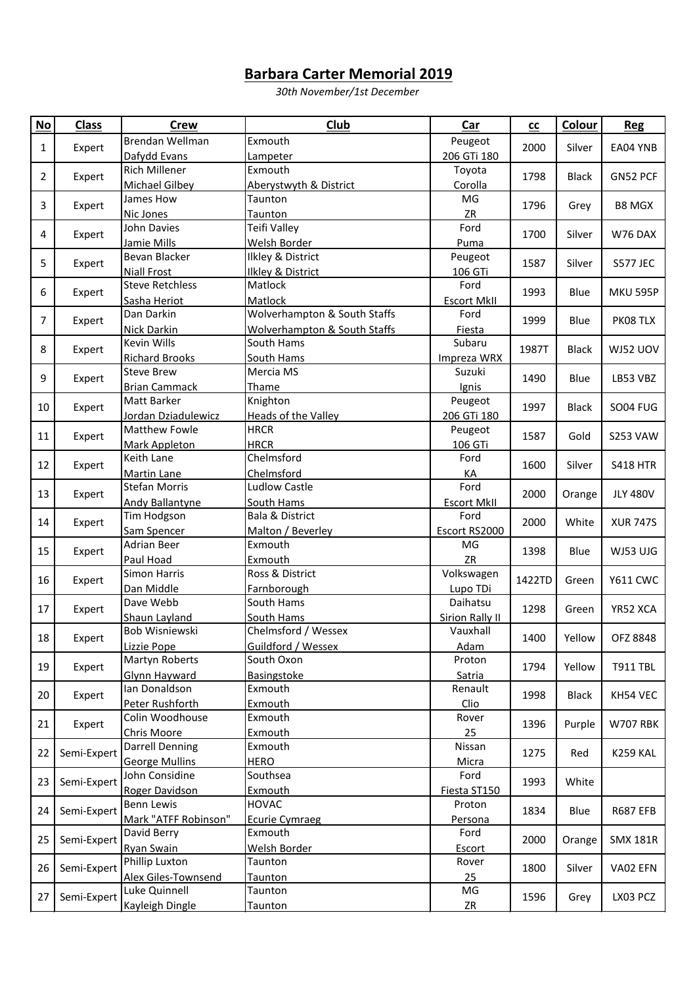## **Barbara Carter Memorial 2019**

*30th November/1st December*

| $No$           | <b>Class</b>                                             | <b>Crew</b>                     | Club                                    | Car                                | cc                                             | Colour                                                       | <b>Reg</b>                                                                                |
|----------------|----------------------------------------------------------|---------------------------------|-----------------------------------------|------------------------------------|------------------------------------------------|--------------------------------------------------------------|-------------------------------------------------------------------------------------------|
| $\mathbf{1}$   | Expert                                                   | Brendan Wellman                 | Exmouth                                 | Peugeot                            | 2000                                           | Silver                                                       | EA04 YNB                                                                                  |
|                |                                                          | Dafydd Evans                    | Lampeter                                | 206 GTi 180                        |                                                |                                                              |                                                                                           |
| $\overline{2}$ | Expert                                                   | <b>Rich Millener</b>            | Exmouth                                 | Toyota                             | 1798                                           | <b>Black</b>                                                 | GN52 PCF                                                                                  |
|                |                                                          | <b>Michael Gilbey</b>           | Aberystwyth & District                  | Corolla                            |                                                |                                                              |                                                                                           |
| 3              | Expert                                                   | James How                       | Taunton                                 | MG                                 | 1796                                           | Grey                                                         | <b>B8 MGX</b>                                                                             |
|                |                                                          | Nic Jones                       | Taunton                                 | ZR                                 |                                                |                                                              |                                                                                           |
| 4              | Expert                                                   | John Davies                     | Teifi Valley                            | Ford                               | 1700                                           | Silver                                                       | W76 DAX                                                                                   |
|                |                                                          | Jamie Mills                     | Welsh Border                            | Puma                               |                                                |                                                              |                                                                                           |
| 5              | Expert                                                   | Bevan Blacker                   | Ilkley & District                       | Peugeot                            | 1587                                           | Silver                                                       | <b>S577 JEC</b>                                                                           |
|                |                                                          | <b>Niall Frost</b>              | <b>Ilkley &amp; District</b>            | 106 GTi                            |                                                |                                                              |                                                                                           |
| 6<br>7         | Expert<br>Expert                                         | <b>Steve Retchless</b>          | Matlock                                 | Ford                               | 1993<br>1999                                   | Blue<br>Blue                                                 | <b>MKU 595P</b><br>PK08 TLX                                                               |
|                |                                                          | Sasha Heriot                    | Matlock                                 | <b>Escort MkII</b>                 |                                                |                                                              |                                                                                           |
|                |                                                          | Dan Darkin                      | Wolverhampton & South Staffs            | Ford                               |                                                |                                                              |                                                                                           |
|                |                                                          | <b>Nick Darkin</b>              | <b>Wolverhampton &amp; South Staffs</b> | Fiesta                             |                                                |                                                              |                                                                                           |
| 8              | Expert                                                   | Kevin Wills                     | South Hams                              | Subaru                             | 1987T                                          | <b>Black</b>                                                 | WJ52 UOV                                                                                  |
|                |                                                          | <b>Richard Brooks</b>           | South Hams                              | Impreza WRX                        |                                                |                                                              |                                                                                           |
| 9              | Expert                                                   | <b>Steve Brew</b>               | Mercia MS                               | Suzuki                             | 1490                                           | Blue                                                         | LB53 VBZ                                                                                  |
|                |                                                          | <b>Brian Cammack</b>            | Thame                                   | Ignis                              |                                                |                                                              |                                                                                           |
| 10             | Expert                                                   | Matt Barker                     | Knighton                                | Peugeot                            | 1997                                           | <b>Black</b><br>Gold<br>Silver<br>Orange                     | <b>SO04 FUG</b><br><b>S253 VAW</b><br><b>S418 HTR</b><br><b>JLY 480V</b>                  |
|                |                                                          | Jordan Dziadulewicz             | Heads of the Valley                     | 206 GTi 180                        |                                                |                                                              |                                                                                           |
| 11             | Expert                                                   | Matthew Fowle                   | <b>HRCR</b>                             | Peugeot                            | 1587                                           |                                                              |                                                                                           |
|                |                                                          | Mark Appleton                   | <b>HRCR</b>                             | 106 GTi                            |                                                |                                                              |                                                                                           |
| 12             | Expert                                                   | Keith Lane                      | Chelmsford                              | Ford                               | 1600                                           |                                                              |                                                                                           |
|                |                                                          | <b>Martin Lane</b>              | Chelmsford                              | KA                                 |                                                |                                                              |                                                                                           |
| 13             | Expert                                                   | <b>Stefan Morris</b>            | <b>Ludlow Castle</b>                    | Ford                               | 2000                                           |                                                              |                                                                                           |
| 14             | Expert                                                   | <b>Andy Ballantyne</b>          | South Hams                              | <b>Escort MkII</b>                 | 2000                                           | White                                                        | <b>XUR 747S</b>                                                                           |
|                |                                                          | Tim Hodgson                     | <b>Bala &amp; District</b>              | Ford                               |                                                |                                                              |                                                                                           |
|                | Expert                                                   | Sam Spencer                     | Malton / Beverley                       | Escort RS2000                      | 1398                                           | Blue                                                         | WJ53 UJG                                                                                  |
| 15             |                                                          | Adrian Beer                     | Exmouth                                 | MG                                 |                                                |                                                              |                                                                                           |
| 16<br>17<br>18 | Expert<br>Expert<br>Expert<br>Expert<br>Expert<br>Expert | Paul Hoad<br>Simon Harris       | Exmouth<br>Ross & District              | ZR                                 | 1422TD<br>1298<br>1400<br>1794<br>1998<br>1396 | Green<br>Green<br>Yellow<br>Yellow<br><b>Black</b><br>Purple | <b>Y611 CWC</b><br>YR52 XCA<br>OFZ 8848<br><b>T911 TBL</b><br>KH54 VEC<br><b>W707 RBK</b> |
|                |                                                          |                                 |                                         | Volkswagen                         |                                                |                                                              |                                                                                           |
|                |                                                          | Dan Middle<br>Dave Webb         | Farnborough<br>South Hams               | Lupo TDi<br>Daihatsu               |                                                |                                                              |                                                                                           |
|                |                                                          |                                 | South Hams                              |                                    |                                                |                                                              |                                                                                           |
|                |                                                          | Shaun Layland<br>Bob Wisniewski | Chelmsford / Wessex                     | <b>Sirion Rally II</b><br>Vauxhall |                                                |                                                              |                                                                                           |
|                |                                                          | Lizzie Pope                     | Guildford / Wessex                      | Adam                               |                                                |                                                              |                                                                                           |
|                |                                                          | <b>Martyn Roberts</b>           | South Oxon                              | Proton                             |                                                |                                                              |                                                                                           |
| 19             |                                                          | Glynn Hayward                   | Basingstoke                             | Satria                             |                                                |                                                              |                                                                                           |
|                |                                                          | Ian Donaldson                   | Exmouth                                 | Renault                            |                                                |                                                              |                                                                                           |
| 20             |                                                          | Peter Rushforth                 | Exmouth                                 | Clio                               |                                                |                                                              |                                                                                           |
|                |                                                          | Colin Woodhouse                 | Exmouth                                 | Rover                              |                                                |                                                              |                                                                                           |
| 21             |                                                          | Chris Moore                     | Exmouth                                 | 25                                 |                                                |                                                              |                                                                                           |
| 22             | Semi-Expert                                              | <b>Darrell Denning</b>          | Exmouth                                 | Nissan                             | 1275                                           | Red                                                          | <b>K259 KAL</b>                                                                           |
|                |                                                          | <b>George Mullins</b>           | <b>HERO</b>                             | <b>Micra</b>                       |                                                |                                                              |                                                                                           |
|                | Semi-Expert                                              | John Considine                  | Southsea                                | Ford                               | 1993                                           | White                                                        |                                                                                           |
| 23             |                                                          | Roger Davidson                  | Exmouth                                 | Fiesta ST150                       |                                                |                                                              |                                                                                           |
| 24             | Semi-Expert                                              | Benn Lewis                      | <b>HOVAC</b>                            | Proton                             | 1834                                           |                                                              | <b>R687 EFB</b>                                                                           |
|                |                                                          | Mark "ATFF Robinson"            | <b>Ecurie Cymraeg</b>                   | Persona                            |                                                | Blue                                                         |                                                                                           |
| 25             | Semi-Expert                                              | David Berry                     | Exmouth                                 | Ford                               | 2000                                           |                                                              | <b>SMX 181R</b>                                                                           |
|                |                                                          | Ryan Swain                      | Welsh Border                            | Escort                             |                                                | Orange                                                       |                                                                                           |
| 26             | Semi-Expert                                              | Phillip Luxton                  | Taunton                                 | Rover                              | 1800                                           | Silver                                                       | VA02 EFN                                                                                  |
|                |                                                          | Alex Giles-Townsend             | Taunton                                 | 25                                 |                                                |                                                              |                                                                                           |
| 27             | Semi-Expert                                              | Luke Quinnell                   | Taunton                                 | MG                                 | 1596                                           | Grey                                                         | LX03 PCZ                                                                                  |
|                |                                                          | Kayleigh Dingle                 | Taunton                                 | ZR                                 |                                                |                                                              |                                                                                           |